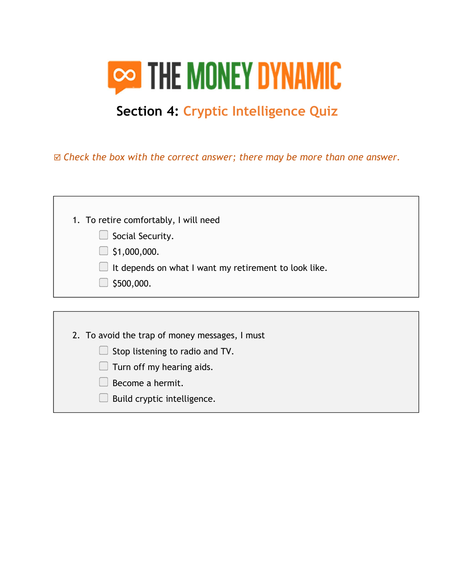

## Section 4: Cryptic Intelligence Quiz

 $\boxtimes$  Check the box with the correct answer; there may be more than one answer.

| 1. To retire comfortably, I will need                 |  |  |  |
|-------------------------------------------------------|--|--|--|
| Social Security.                                      |  |  |  |
| \$1,000,000.                                          |  |  |  |
| It depends on what I want my retirement to look like. |  |  |  |
| \$500,000.                                            |  |  |  |
|                                                       |  |  |  |
|                                                       |  |  |  |
| 2. To avoid the trap of money messages, I must        |  |  |  |
| Stop listening to radio and TV.                       |  |  |  |
| Turn off my hearing aids.                             |  |  |  |
| Become a hermit.                                      |  |  |  |
| Build cryptic intelligence.                           |  |  |  |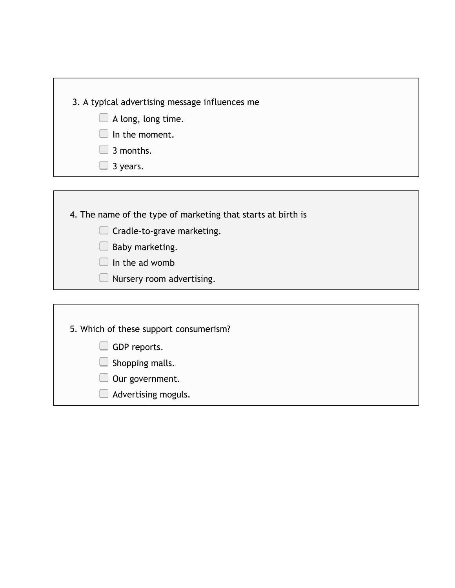| 3. A typical advertising message influences me |
|------------------------------------------------|
| $\Box$ A long, long time.                      |
| $\Box$ In the moment.                          |

- **3** months.
- 3 years.

4. The name of the type of marketing that starts at birth is

- Cradle-to-grave marketing.
- Baby marketing.
- $\Box$  In the ad womb
- **Nursery room advertising.**

| 5. Which of these support consumerism? |  |
|----------------------------------------|--|
| GDP reports.                           |  |
| Shopping malls.                        |  |
| Our government.                        |  |
| Advertising moguls.                    |  |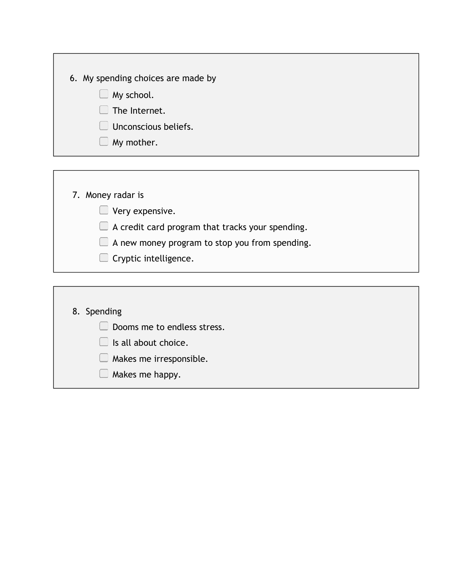| 6. My spending choices are made by |  |
|------------------------------------|--|
| My school.<br>I.                   |  |
| The Internet.<br>H                 |  |
| Unconscious beliefs.               |  |
| My mother.                         |  |
|                                    |  |

|  |  | 7. Money radar is |
|--|--|-------------------|
|--|--|-------------------|

**Very expensive.** 

A credit card program that tracks your spending.

A new money program to stop you from spending.

Cryptic intelligence.

## 8. Spending

- Dooms me to endless stress.
- Is all about choice.
- **Makes me irresponsible.**
- $\Box$  Makes me happy.